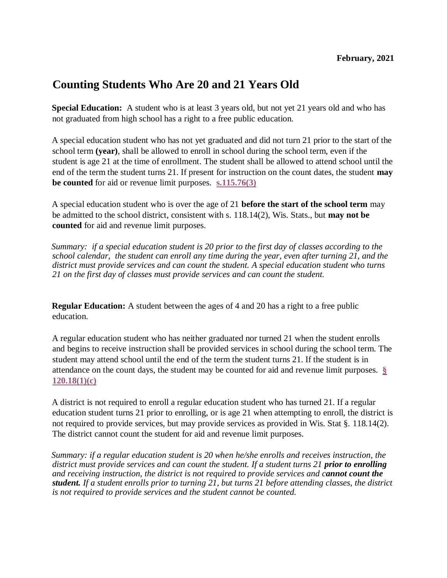# **Counting Students Who Are 20 and 21 Years Old**

**Special Education:** A student who is at least 3 years old, but not yet 21 years old and who has not graduated from high school has a right to a free public education.

A special education student who has not yet graduated and did not turn 21 prior to the start of the school term **(year)**, shall be allowed to enroll in school during the school term, even if the student is age 21 at the time of enrollment. The student shall be allowed to attend school until the end of the term the student turns 21. If present for instruction on the count dates, the student **may be counted** for aid or revenue limit purposes. **[s.115.76\(3\)](https://docs.legis.wisconsin.gov/document/statutes/115.76(3))**

A special education student who is over the age of 21 **before the start of the school term** may be admitted to the school district, consistent with s. 118.14(2), Wis. Stats., but **may not be counted** for aid and revenue limit purposes.

*Summary: if a special education student is 20 prior to the first day of classes according to the school calendar, the student can enroll any time during the year, even after turning 21, and the district must provide services and can count the student. A special education student who turns 21 on the first day of classes must provide services and can count the student.*

**Regular Education:** A student between the ages of 4 and 20 has a right to a free public education.

A regular education student who has neither graduated nor turned 21 when the student enrolls and begins to receive instruction shall be provided services in school during the school term. The student may attend school until the end of the term the student turns 21. If the student is in attendance on the count days, the student may be counted for aid and revenue limit purposes. **[§](https://docs.legis.wisconsin.gov/statutes/statutes/120/i/18/1/c)  [120.18\(1\)\(c\)](https://docs.legis.wisconsin.gov/statutes/statutes/120/i/18/1/c)**

A district is not required to enroll a regular education student who has turned 21. If a regular education student turns 21 prior to enrolling, or is age 21 when attempting to enroll, the district is not required to provide services, but may provide services as provided in Wis. Stat §. 118.14(2). The district cannot count the student for aid and revenue limit purposes.

*Summary: if a regular education student is 20 when he/she enrolls and receives instruction, the district must provide services and can count the student. If a student turns 21 prior to enrolling and receiving instruction, the district is not required to provide services and cannot count the student. If a student enrolls prior to turning 21, but turns 21 before attending classes, the district is not required to provide services and the student cannot be counted.*